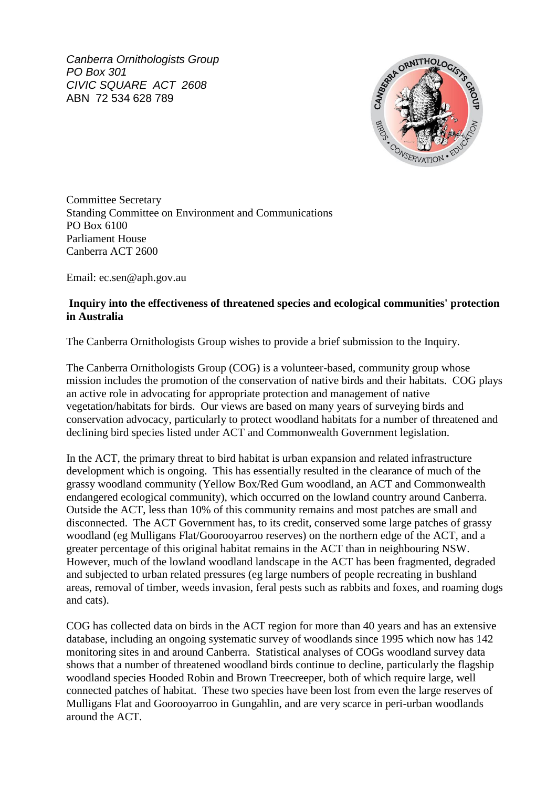*Canberra Ornithologists Group PO Box 301 CIVIC SQUARE ACT 2608* ABN 72 534 628 789



Committee Secretary Standing Committee on Environment and Communications PO Box 6100 Parliament House Canberra ACT 2600

Email: ec.sen@aph.gov.au

## **Inquiry into the effectiveness of threatened species and ecological communities' protection in Australia**

The Canberra Ornithologists Group wishes to provide a brief submission to the Inquiry.

The Canberra Ornithologists Group (COG) is a volunteer-based, community group whose mission includes the promotion of the conservation of native birds and their habitats. COG plays an active role in advocating for appropriate protection and management of native vegetation/habitats for birds. Our views are based on many years of surveying birds and conservation advocacy, particularly to protect woodland habitats for a number of threatened and declining bird species listed under ACT and Commonwealth Government legislation.

In the ACT, the primary threat to bird habitat is urban expansion and related infrastructure development which is ongoing. This has essentially resulted in the clearance of much of the grassy woodland community (Yellow Box/Red Gum woodland, an ACT and Commonwealth endangered ecological community), which occurred on the lowland country around Canberra. Outside the ACT, less than 10% of this community remains and most patches are small and disconnected. The ACT Government has, to its credit, conserved some large patches of grassy woodland (eg Mulligans Flat/Goorooyarroo reserves) on the northern edge of the ACT, and a greater percentage of this original habitat remains in the ACT than in neighbouring NSW. However, much of the lowland woodland landscape in the ACT has been fragmented, degraded and subjected to urban related pressures (eg large numbers of people recreating in bushland areas, removal of timber, weeds invasion, feral pests such as rabbits and foxes, and roaming dogs and cats).

COG has collected data on birds in the ACT region for more than 40 years and has an extensive database, including an ongoing systematic survey of woodlands since 1995 which now has 142 monitoring sites in and around Canberra. Statistical analyses of COGs woodland survey data shows that a number of threatened woodland birds continue to decline, particularly the flagship woodland species Hooded Robin and Brown Treecreeper, both of which require large, well connected patches of habitat. These two species have been lost from even the large reserves of Mulligans Flat and Goorooyarroo in Gungahlin, and are very scarce in peri-urban woodlands around the ACT.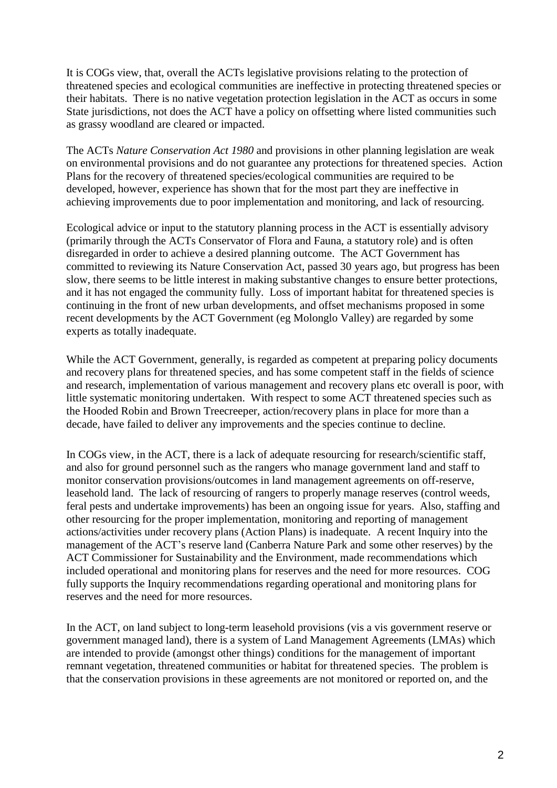It is COGs view, that, overall the ACTs legislative provisions relating to the protection of threatened species and ecological communities are ineffective in protecting threatened species or their habitats. There is no native vegetation protection legislation in the ACT as occurs in some State jurisdictions, not does the ACT have a policy on offsetting where listed communities such as grassy woodland are cleared or impacted.

The ACTs *Nature Conservation Act 1980* and provisions in other planning legislation are weak on environmental provisions and do not guarantee any protections for threatened species. Action Plans for the recovery of threatened species/ecological communities are required to be developed, however, experience has shown that for the most part they are ineffective in achieving improvements due to poor implementation and monitoring, and lack of resourcing.

Ecological advice or input to the statutory planning process in the ACT is essentially advisory (primarily through the ACTs Conservator of Flora and Fauna, a statutory role) and is often disregarded in order to achieve a desired planning outcome. The ACT Government has committed to reviewing its Nature Conservation Act, passed 30 years ago, but progress has been slow, there seems to be little interest in making substantive changes to ensure better protections, and it has not engaged the community fully. Loss of important habitat for threatened species is continuing in the front of new urban developments, and offset mechanisms proposed in some recent developments by the ACT Government (eg Molonglo Valley) are regarded by some experts as totally inadequate.

While the ACT Government, generally, is regarded as competent at preparing policy documents and recovery plans for threatened species, and has some competent staff in the fields of science and research, implementation of various management and recovery plans etc overall is poor, with little systematic monitoring undertaken. With respect to some ACT threatened species such as the Hooded Robin and Brown Treecreeper, action/recovery plans in place for more than a decade, have failed to deliver any improvements and the species continue to decline.

In COGs view, in the ACT, there is a lack of adequate resourcing for research/scientific staff, and also for ground personnel such as the rangers who manage government land and staff to monitor conservation provisions/outcomes in land management agreements on off-reserve, leasehold land. The lack of resourcing of rangers to properly manage reserves (control weeds, feral pests and undertake improvements) has been an ongoing issue for years. Also, staffing and other resourcing for the proper implementation, monitoring and reporting of management actions/activities under recovery plans (Action Plans) is inadequate. A recent Inquiry into the management of the ACT's reserve land (Canberra Nature Park and some other reserves) by the ACT Commissioner for Sustainability and the Environment, made recommendations which included operational and monitoring plans for reserves and the need for more resources. COG fully supports the Inquiry recommendations regarding operational and monitoring plans for reserves and the need for more resources.

In the ACT, on land subject to long-term leasehold provisions (vis a vis government reserve or government managed land), there is a system of Land Management Agreements (LMAs) which are intended to provide (amongst other things) conditions for the management of important remnant vegetation, threatened communities or habitat for threatened species. The problem is that the conservation provisions in these agreements are not monitored or reported on, and the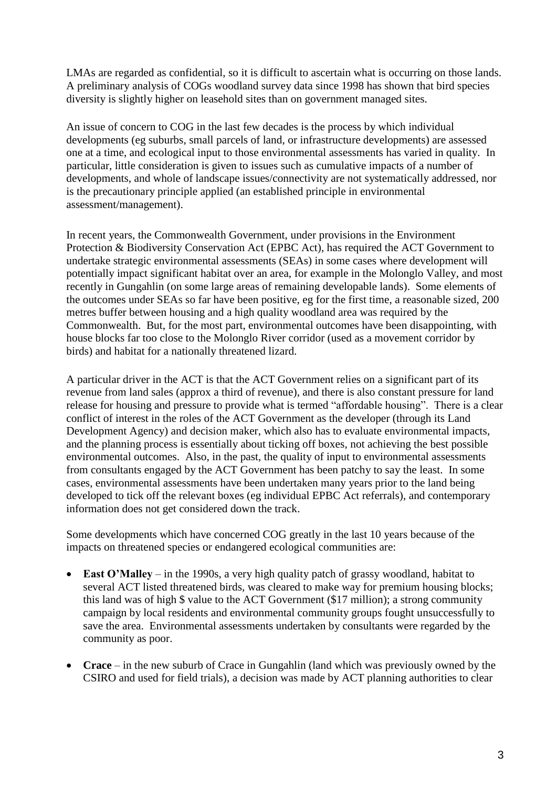LMAs are regarded as confidential, so it is difficult to ascertain what is occurring on those lands. A preliminary analysis of COGs woodland survey data since 1998 has shown that bird species diversity is slightly higher on leasehold sites than on government managed sites.

An issue of concern to COG in the last few decades is the process by which individual developments (eg suburbs, small parcels of land, or infrastructure developments) are assessed one at a time, and ecological input to those environmental assessments has varied in quality. In particular, little consideration is given to issues such as cumulative impacts of a number of developments, and whole of landscape issues/connectivity are not systematically addressed, nor is the precautionary principle applied (an established principle in environmental assessment/management).

In recent years, the Commonwealth Government, under provisions in the Environment Protection & Biodiversity Conservation Act (EPBC Act), has required the ACT Government to undertake strategic environmental assessments (SEAs) in some cases where development will potentially impact significant habitat over an area, for example in the Molonglo Valley, and most recently in Gungahlin (on some large areas of remaining developable lands). Some elements of the outcomes under SEAs so far have been positive, eg for the first time, a reasonable sized, 200 metres buffer between housing and a high quality woodland area was required by the Commonwealth. But, for the most part, environmental outcomes have been disappointing, with house blocks far too close to the Molonglo River corridor (used as a movement corridor by birds) and habitat for a nationally threatened lizard.

A particular driver in the ACT is that the ACT Government relies on a significant part of its revenue from land sales (approx a third of revenue), and there is also constant pressure for land release for housing and pressure to provide what is termed "affordable housing". There is a clear conflict of interest in the roles of the ACT Government as the developer (through its Land Development Agency) and decision maker, which also has to evaluate environmental impacts, and the planning process is essentially about ticking off boxes, not achieving the best possible environmental outcomes. Also, in the past, the quality of input to environmental assessments from consultants engaged by the ACT Government has been patchy to say the least. In some cases, environmental assessments have been undertaken many years prior to the land being developed to tick off the relevant boxes (eg individual EPBC Act referrals), and contemporary information does not get considered down the track.

Some developments which have concerned COG greatly in the last 10 years because of the impacts on threatened species or endangered ecological communities are:

- **East O'Malley** in the 1990s, a very high quality patch of grassy woodland, habitat to several ACT listed threatened birds, was cleared to make way for premium housing blocks; this land was of high \$ value to the ACT Government (\$17 million); a strong community campaign by local residents and environmental community groups fought unsuccessfully to save the area. Environmental assessments undertaken by consultants were regarded by the community as poor.
- **Crace** in the new suburb of Crace in Gungahlin (land which was previously owned by the CSIRO and used for field trials), a decision was made by ACT planning authorities to clear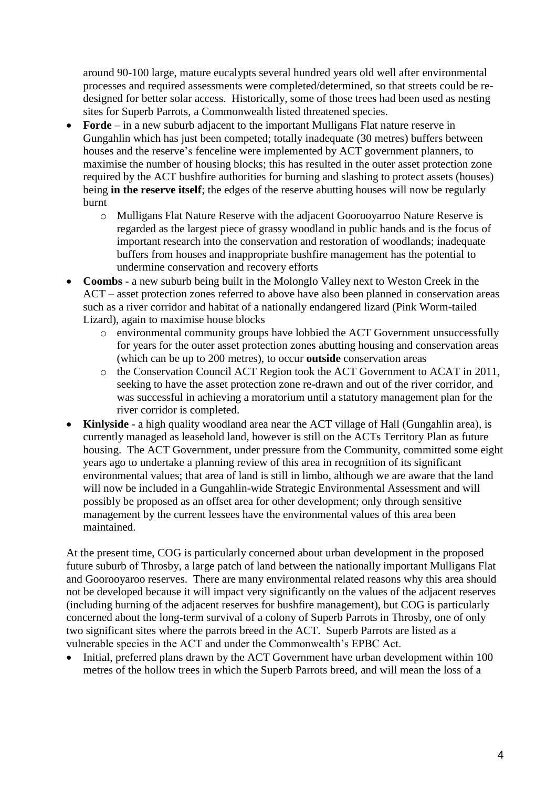around 90-100 large, mature eucalypts several hundred years old well after environmental processes and required assessments were completed/determined, so that streets could be redesigned for better solar access. Historically, some of those trees had been used as nesting sites for Superb Parrots, a Commonwealth listed threatened species.

- **Forde** in a new suburb adjacent to the important Mulligans Flat nature reserve in Gungahlin which has just been competed; totally inadequate (30 metres) buffers between houses and the reserve's fenceline were implemented by ACT government planners, to maximise the number of housing blocks; this has resulted in the outer asset protection zone required by the ACT bushfire authorities for burning and slashing to protect assets (houses) being **in the reserve itself**; the edges of the reserve abutting houses will now be regularly burnt
	- o Mulligans Flat Nature Reserve with the adjacent Goorooyarroo Nature Reserve is regarded as the largest piece of grassy woodland in public hands and is the focus of important research into the conservation and restoration of woodlands; inadequate buffers from houses and inappropriate bushfire management has the potential to undermine conservation and recovery efforts
- **Coombs** a new suburb being built in the Molonglo Valley next to Weston Creek in the ACT – asset protection zones referred to above have also been planned in conservation areas such as a river corridor and habitat of a nationally endangered lizard (Pink Worm-tailed Lizard), again to maximise house blocks
	- o environmental community groups have lobbied the ACT Government unsuccessfully for years for the outer asset protection zones abutting housing and conservation areas (which can be up to 200 metres), to occur **outside** conservation areas
	- o the Conservation Council ACT Region took the ACT Government to ACAT in 2011, seeking to have the asset protection zone re-drawn and out of the river corridor, and was successful in achieving a moratorium until a statutory management plan for the river corridor is completed.
- **Kinlyside** a high quality woodland area near the ACT village of Hall (Gungahlin area), is currently managed as leasehold land, however is still on the ACTs Territory Plan as future housing. The ACT Government, under pressure from the Community, committed some eight years ago to undertake a planning review of this area in recognition of its significant environmental values; that area of land is still in limbo, although we are aware that the land will now be included in a Gungahlin-wide Strategic Environmental Assessment and will possibly be proposed as an offset area for other development; only through sensitive management by the current lessees have the environmental values of this area been maintained.

At the present time, COG is particularly concerned about urban development in the proposed future suburb of Throsby, a large patch of land between the nationally important Mulligans Flat and Goorooyaroo reserves. There are many environmental related reasons why this area should not be developed because it will impact very significantly on the values of the adjacent reserves (including burning of the adjacent reserves for bushfire management), but COG is particularly concerned about the long-term survival of a colony of Superb Parrots in Throsby, one of only two significant sites where the parrots breed in the ACT. Superb Parrots are listed as a vulnerable species in the ACT and under the Commonwealth's EPBC Act.

• Initial, preferred plans drawn by the ACT Government have urban development within 100 metres of the hollow trees in which the Superb Parrots breed, and will mean the loss of a